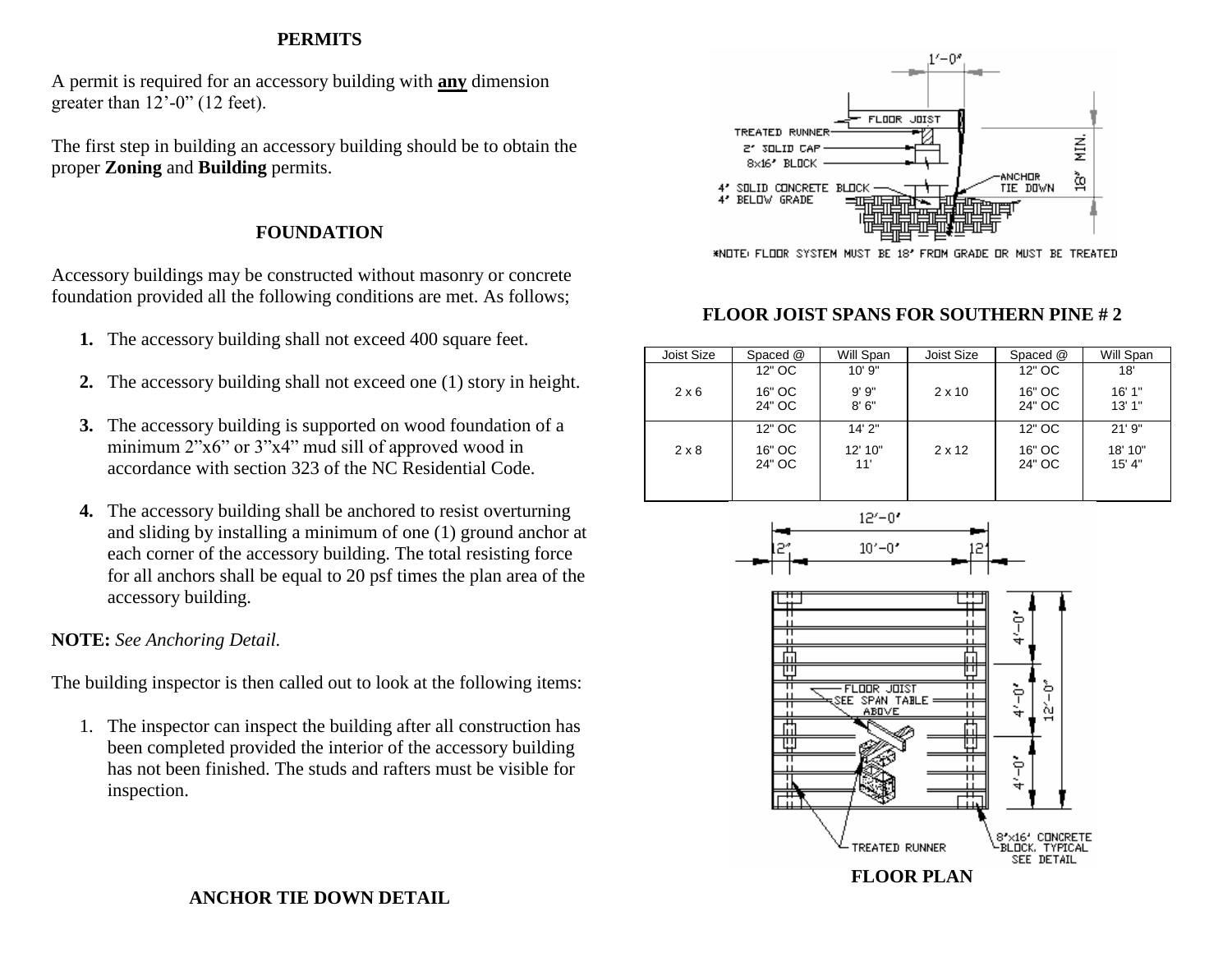#### **PERMITS**

A permit is required for an accessory building with **any** dimension greater than  $12'-0''$  (12 feet).

The first step in building an accessory building should be to obtain the proper **Zoning** and **Building** permits.

#### **FOUNDATION**

Accessory buildings may be constructed without masonry or concrete foundation provided all the following conditions are met. As follows;

- **1.** The accessory building shall not exceed 400 square feet.
- **2.** The accessory building shall not exceed one (1) story in height.
- **3.** The accessory building is supported on wood foundation of a minimum 2"x6" or 3"x4" mud sill of approved wood in accordance with section 323 of the NC Residential Code.
- **4.** The accessory building shall be anchored to resist overturning and sliding by installing a minimum of one (1) ground anchor at each corner of the accessory building. The total resisting force for all anchors shall be equal to 20 psf times the plan area of the accessory building.

#### **NOTE:** *See Anchoring Detail.*

The building inspector is then called out to look at the following items:

1. The inspector can inspect the building after all construction has been completed provided the interior of the accessory building has not been finished. The studs and rafters must be visible for inspection.



\*NOTE: FLOOR SYSTEM MUST BE 18' FROM GRADE OR MUST BE TREATED

#### **FLOOR JOIST SPANS FOR SOUTHERN PINE # 2**

| Joist Size   | Spaced @         | Will Span      | Joist Size    | Spaced @         | Will Span         |
|--------------|------------------|----------------|---------------|------------------|-------------------|
| $2 \times 6$ | 12" OC           | 10'9"          |               | 12" OC           | 18'               |
|              | 16" OC<br>24" OC | 9'9''<br>8'6'' | $2 \times 10$ | 16" OC<br>24" OC | 16'1"<br>13'1"    |
| $2 \times 8$ | 12" OC           | 14'2"          | $2 \times 12$ | 12" OC           | 21'9''            |
|              | 16" OC<br>24" OC | 12' 10"<br>11' |               | 16" OC<br>24" OC | 18' 10"<br>15' 4" |
|              |                  |                |               |                  |                   |





#### **ANCHOR TIE DOWN DETAIL**